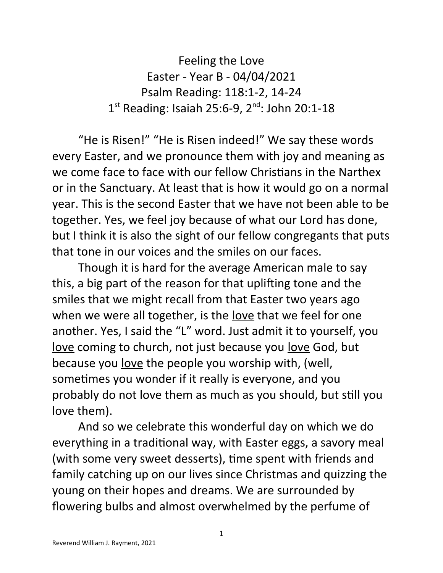Feeling the Love Easter - Year B - 04/04/2021 Psalm Reading: 118:1-2, 14-24 1<sup>st</sup> Reading: Isaiah 25:6-9, 2<sup>nd</sup>: John 20:1-18

"He is Risen!" "He is Risen indeed!" We say these words every Easter, and we pronounce them with joy and meaning as we come face to face with our fellow Christians in the Narthex or in the Sanctuary. At least that is how it would go on a normal year. This is the second Easter that we have not been able to be together. Yes, we feel joy because of what our Lord has done, but I think it is also the sight of our fellow congregants that puts that tone in our voices and the smiles on our faces.

Though it is hard for the average American male to say this, a big part of the reason for that uplifting tone and the smiles that we might recall from that Easter two years ago when we were all together, is the love that we feel for one another. Yes, I said the "L" word. Just admit it to yourself, you love coming to church, not just because you love God, but because you <u>love</u> the people you worship with, (well, sometimes you wonder if it really is everyone, and you probably do not love them as much as you should, but still you love them).

And so we celebrate this wonderful day on which we do everything in a traditional way, with Easter eggs, a savory meal (with some very sweet desserts), time spent with friends and family catching up on our lives since Christmas and quizzing the young on their hopes and dreams. We are surrounded by flowering bulbs and almost overwhelmed by the perfume of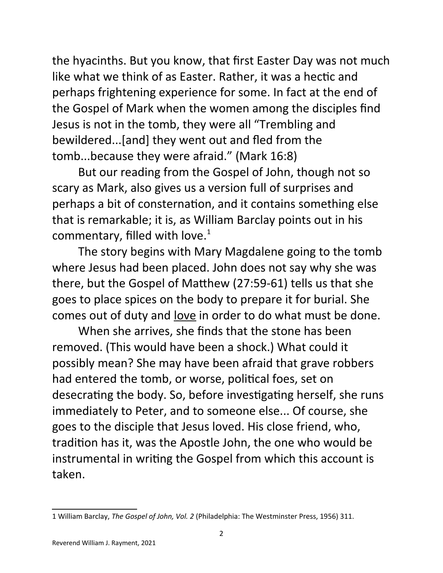the hyacinths. But you know, that first Easter Day was not much like what we think of as Easter. Rather, it was a hectic and perhaps frightening experience for some. In fact at the end of the Gospel of Mark when the women among the disciples find Jesus is not in the tomb, they were all "Trembling and bewildered...[and] they went out and fled from the tomb...because they were afraid." (Mark 16:8)

But our reading from the Gospel of John, though not so scary as Mark, also gives us a version full of surprises and perhaps a bit of consternation, and it contains something else that is remarkable; it is, as William Barclay points out in his commentary, filled with love. $1$ 

The story begins with Mary Magdalene going to the tomb where Jesus had been placed. John does not say why she was there, but the Gospel of Matthew (27:59-61) tells us that she goes to place spices on the body to prepare it for burial. She comes out of duty and love in order to do what must be done.

When she arrives, she finds that the stone has been removed. (This would have been a shock.) What could it possibly mean? She may have been afraid that grave robbers had entered the tomb, or worse, political foes, set on desecrating the body. So, before investigating herself, she runs immediately to Peter, and to someone else... Of course, she goes to the disciple that Jesus loved. His close friend, who, tradition has it, was the Apostle John, the one who would be instrumental in writing the Gospel from which this account is taken.

<span id="page-1-0"></span><sup>1</sup> William Barclay, *The Gospel of John, Vol. 2* (Philadelphia: The Westminster Press, 1956) 311.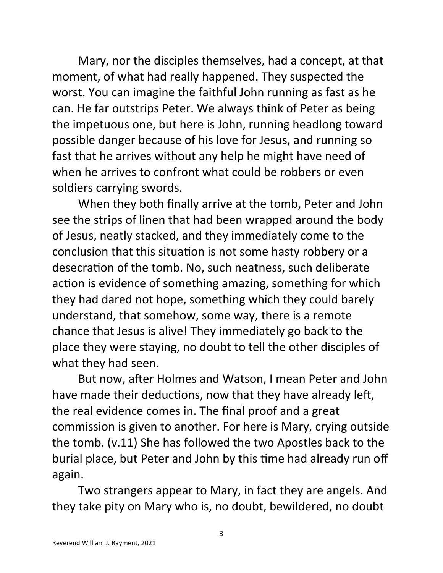Mary, nor the disciples themselves, had a concept, at that moment, of what had really happened. They suspected the worst. You can imagine the faithful John running as fast as he can. He far outstrips Peter. We always think of Peter as being the impetuous one, but here is John, running headlong toward possible danger because of his love for Jesus, and running so fast that he arrives without any help he might have need of when he arrives to confront what could be robbers or even soldiers carrying swords.

When they both finally arrive at the tomb, Peter and John see the strips of linen that had been wrapped around the body of Jesus, neatly stacked, and they immediately come to the conclusion that this situation is not some hasty robbery or a desecration of the tomb. No, such neatness, such deliberate action is evidence of something amazing, something for which they had dared not hope, something which they could barely understand, that somehow, some way, there is a remote chance that Jesus is alive! They immediately go back to the place they were staying, no doubt to tell the other disciples of what they had seen.

But now, after Holmes and Watson, I mean Peter and John have made their deductions, now that they have already left, the real evidence comes in. The final proof and a great commission is given to another. For here is Mary, crying outside the tomb. (v.11) She has followed the two Apostles back to the burial place, but Peter and John by this time had already run off again.

Two strangers appear to Mary, in fact they are angels. And they take pity on Mary who is, no doubt, bewildered, no doubt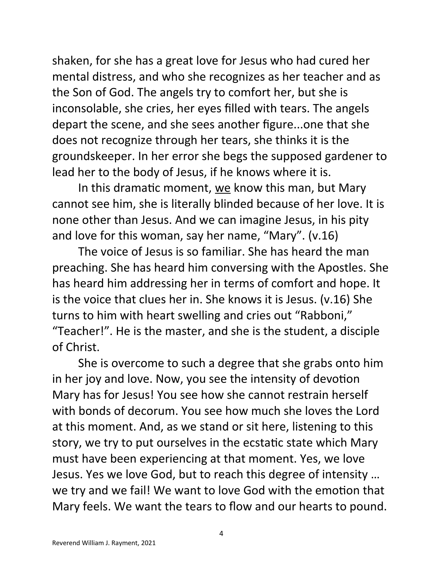shaken, for she has a great love for Jesus who had cured her mental distress, and who she recognizes as her teacher and as the Son of God. The angels try to comfort her, but she is inconsolable, she cries, her eyes filled with tears. The angels depart the scene, and she sees another figure...one that she does not recognize through her tears, she thinks it is the groundskeeper. In her error she begs the supposed gardener to lead her to the body of Jesus, if he knows where it is.

In this dramatic moment, we know this man, but Mary cannot see him, she is literally blinded because of her love. It is none other than Jesus. And we can imagine Jesus, in his pity and love for this woman, say her name, "Mary". (v.16)

The voice of Jesus is so familiar. She has heard the man preaching. She has heard him conversing with the Apostles. She has heard him addressing her in terms of comfort and hope. It is the voice that clues her in. She knows it is Jesus. (v.16) She turns to him with heart swelling and cries out "Rabboni," "Teacher!". He is the master, and she is the student, a disciple of Christ.

She is overcome to such a degree that she grabs onto him in her joy and love. Now, you see the intensity of devotion Mary has for Jesus! You see how she cannot restrain herself with bonds of decorum. You see how much she loves the Lord at this moment. And, as we stand or sit here, listening to this story, we try to put ourselves in the ecstatic state which Mary must have been experiencing at that moment. Yes, we love Jesus. Yes we love God, but to reach this degree of intensity … we try and we fail! We want to love God with the emotion that Mary feels. We want the tears to flow and our hearts to pound.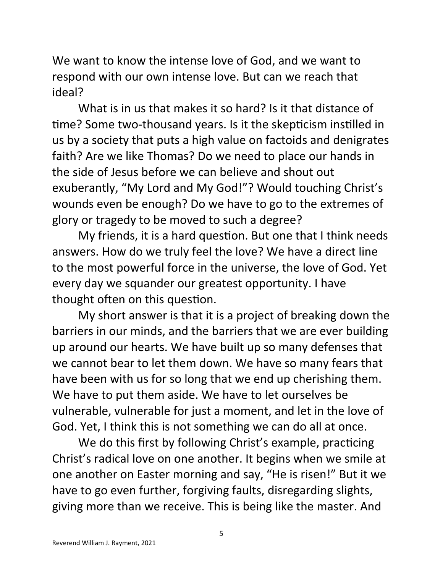We want to know the intense love of God, and we want to respond with our own intense love. But can we reach that ideal?

What is in us that makes it so hard? Is it that distance of time? Some two-thousand years. Is it the skepticism instilled in us by a society that puts a high value on factoids and denigrates faith? Are we like Thomas? Do we need to place our hands in the side of Jesus before we can believe and shout out exuberantly, "My Lord and My God!"? Would touching Christ's wounds even be enough? Do we have to go to the extremes of glory or tragedy to be moved to such a degree?

My friends, it is a hard question. But one that I think needs answers. How do we truly feel the love? We have a direct line to the most powerful force in the universe, the love of God. Yet every day we squander our greatest opportunity. I have thought often on this question.

My short answer is that it is a project of breaking down the barriers in our minds, and the barriers that we are ever building up around our hearts. We have built up so many defenses that we cannot bear to let them down. We have so many fears that have been with us for so long that we end up cherishing them. We have to put them aside. We have to let ourselves be vulnerable, vulnerable for just a moment, and let in the love of God. Yet, I think this is not something we can do all at once.

We do this first by following Christ's example, practicing Christ's radical love on one another. It begins when we smile at one another on Easter morning and say, "He is risen!" But it we have to go even further, forgiving faults, disregarding slights, giving more than we receive. This is being like the master. And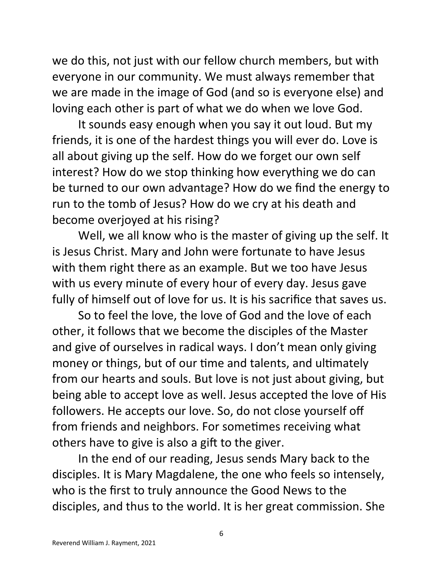we do this, not just with our fellow church members, but with everyone in our community. We must always remember that we are made in the image of God (and so is everyone else) and loving each other is part of what we do when we love God.

It sounds easy enough when you say it out loud. But my friends, it is one of the hardest things you will ever do. Love is all about giving up the self. How do we forget our own self interest? How do we stop thinking how everything we do can be turned to our own advantage? How do we find the energy to run to the tomb of Jesus? How do we cry at his death and become overjoyed at his rising?

Well, we all know who is the master of giving up the self. It is Jesus Christ. Mary and John were fortunate to have Jesus with them right there as an example. But we too have Jesus with us every minute of every hour of every day. Jesus gave fully of himself out of love for us. It is his sacrifice that saves us.

So to feel the love, the love of God and the love of each other, it follows that we become the disciples of the Master and give of ourselves in radical ways. I don't mean only giving money or things, but of our time and talents, and ultimately from our hearts and souls. But love is not just about giving, but being able to accept love as well. Jesus accepted the love of His followers. He accepts our love. So, do not close yourself off from friends and neighbors. For sometimes receiving what others have to give is also a gift to the giver.

In the end of our reading, Jesus sends Mary back to the disciples. It is Mary Magdalene, the one who feels so intensely, who is the first to truly announce the Good News to the disciples, and thus to the world. It is her great commission. She